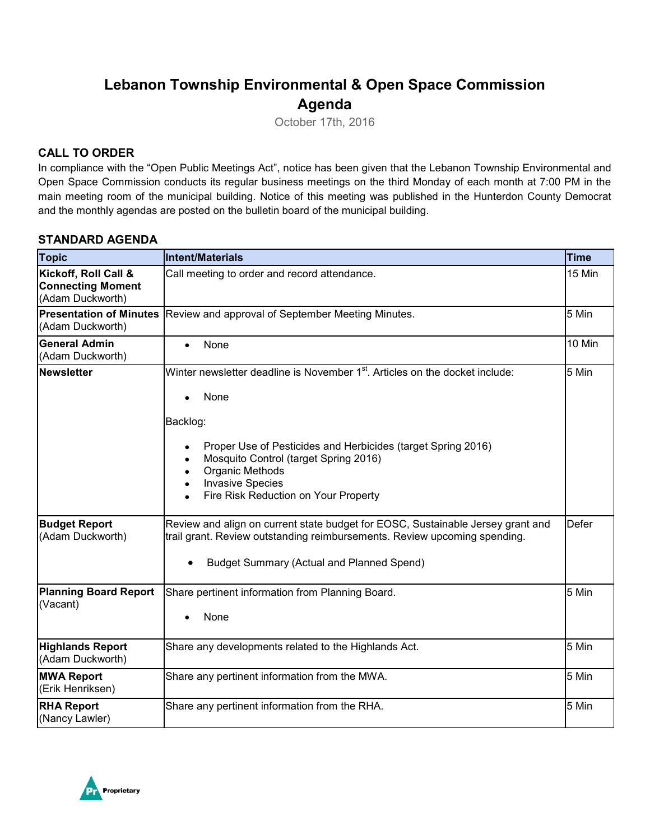# **Lebanon Township Environmental & Open Space Commission Agenda**

October 17th, 2016

### **CALL TO ORDER**

In compliance with the "Open Public Meetings Act", notice has been given that the Lebanon Township Environmental and Open Space Commission conducts its regular business meetings on the third Monday of each month at 7:00 PM in the main meeting room of the municipal building. Notice of this meeting was published in the Hunterdon County Democrat and the monthly agendas are posted on the bulletin board of the municipal building.

#### **STANDARD AGENDA**

| <b>Topic</b>                                                         | <b>Intent/Materials</b>                                                                                                                                                                                                                                                                                                         | <b>Time</b>  |
|----------------------------------------------------------------------|---------------------------------------------------------------------------------------------------------------------------------------------------------------------------------------------------------------------------------------------------------------------------------------------------------------------------------|--------------|
| Kickoff, Roll Call &<br><b>Connecting Moment</b><br>(Adam Duckworth) | Call meeting to order and record attendance.                                                                                                                                                                                                                                                                                    | 15 Min       |
| <b>Presentation of Minutes</b><br>(Adam Duckworth)                   | Review and approval of September Meeting Minutes.                                                                                                                                                                                                                                                                               | 5 Min        |
| <b>General Admin</b><br>(Adam Duckworth)                             | None<br>$\bullet$                                                                                                                                                                                                                                                                                                               | 10 Min       |
| <b>Newsletter</b>                                                    | Winter newsletter deadline is November 1 <sup>st</sup> . Articles on the docket include:<br>None<br>$\bullet$<br>Backlog:<br>Proper Use of Pesticides and Herbicides (target Spring 2016)<br>Mosquito Control (target Spring 2016)<br><b>Organic Methods</b><br><b>Invasive Species</b><br>Fire Risk Reduction on Your Property | 5 Min        |
| <b>Budget Report</b><br>(Adam Duckworth)                             | Review and align on current state budget for EOSC, Sustainable Jersey grant and<br>trail grant. Review outstanding reimbursements. Review upcoming spending.<br><b>Budget Summary (Actual and Planned Spend)</b>                                                                                                                | <b>Defer</b> |
| <b>Planning Board Report</b><br>(Vacant)                             | Share pertinent information from Planning Board.<br>None                                                                                                                                                                                                                                                                        | 5 Min        |
| <b>Highlands Report</b><br>(Adam Duckworth)                          | Share any developments related to the Highlands Act.                                                                                                                                                                                                                                                                            | 5 Min        |
| <b>MWA Report</b><br>(Erik Henriksen)                                | Share any pertinent information from the MWA.                                                                                                                                                                                                                                                                                   | 5 Min        |
| <b>RHA Report</b><br>(Nancy Lawler)                                  | Share any pertinent information from the RHA.                                                                                                                                                                                                                                                                                   | 5 Min        |

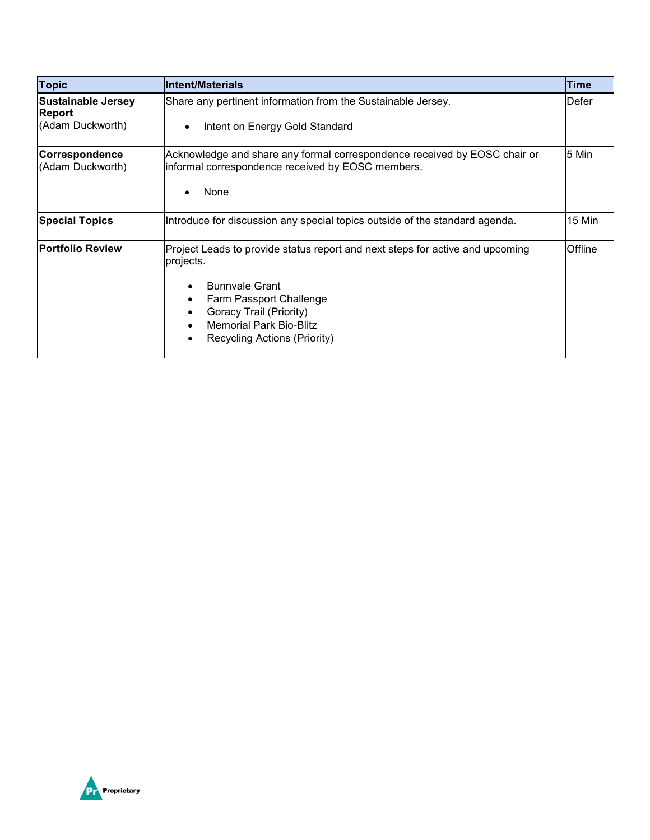| <b>Topic</b>                                                   | <b>Intent/Materials</b>                                                                                                                                                                                                                     | Time    |
|----------------------------------------------------------------|---------------------------------------------------------------------------------------------------------------------------------------------------------------------------------------------------------------------------------------------|---------|
| <b>Sustainable Jersey</b><br><b>Report</b><br>(Adam Duckworth) | Share any pertinent information from the Sustainable Jersey.<br>Intent on Energy Gold Standard<br>$\bullet$                                                                                                                                 | Defer   |
| Correspondence<br>(Adam Duckworth)                             | Acknowledge and share any formal correspondence received by EOSC chair or<br>informal correspondence received by EOSC members.<br>None                                                                                                      | 5 Min   |
| <b>Special Topics</b>                                          | Introduce for discussion any special topics outside of the standard agenda.                                                                                                                                                                 | 15 Min  |
| <b>Portfolio Review</b>                                        | Project Leads to provide status report and next steps for active and upcoming<br>projects.<br><b>Bunnvale Grant</b><br>Farm Passport Challenge<br>Goracy Trail (Priority)<br><b>Memorial Park Bio-Blitz</b><br>Recycling Actions (Priority) | Offline |

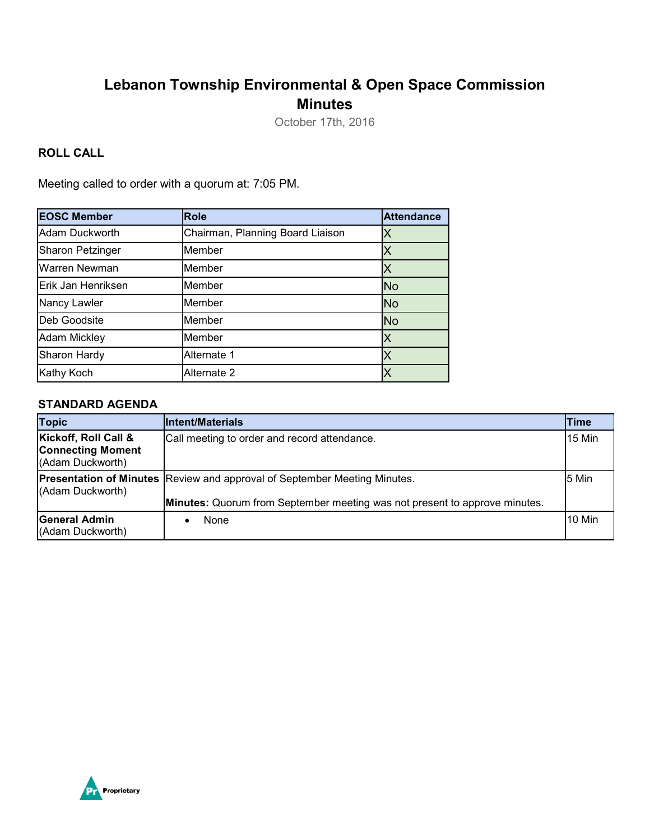## **Lebanon Township Environmental & Open Space Commission Minutes**

October 17th, 2016

### **ROLL CALL**

Meeting called to order with a quorum at: 7:05 PM.

| <b>EOSC Member</b>      | <b>Role</b>                      | <b>Attendance</b> |
|-------------------------|----------------------------------|-------------------|
| Adam Duckworth          | Chairman, Planning Board Liaison |                   |
| <b>Sharon Petzinger</b> | Member                           |                   |
| Warren Newman           | Member                           |                   |
| Erik Jan Henriksen      | Member                           | <b>No</b>         |
| Nancy Lawler            | Member                           | <b>No</b>         |
| Deb Goodsite            | Member                           | <b>No</b>         |
| <b>Adam Mickley</b>     | Member                           | Χ                 |
| Sharon Hardy            | Alternate 1                      |                   |
| Kathy Koch              | Alternate 2                      |                   |

#### **STANDARD AGENDA**

| <b>Topic</b>                                                         | <b>Intent/Materials</b>                                                                   | Time   |
|----------------------------------------------------------------------|-------------------------------------------------------------------------------------------|--------|
| Kickoff, Roll Call &<br><b>Connecting Moment</b><br>(Adam Duckworth) | Call meeting to order and record attendance.                                              | 15 Min |
| (Adam Duckworth)                                                     | <b>Presentation of Minutes Review and approval of September Meeting Minutes.</b><br>5 Min |        |
|                                                                      | <b>Minutes:</b> Quorum from September meeting was not present to approve minutes.         |        |
| General Admin<br>(Adam Duckworth)                                    | None                                                                                      | 10 Min |

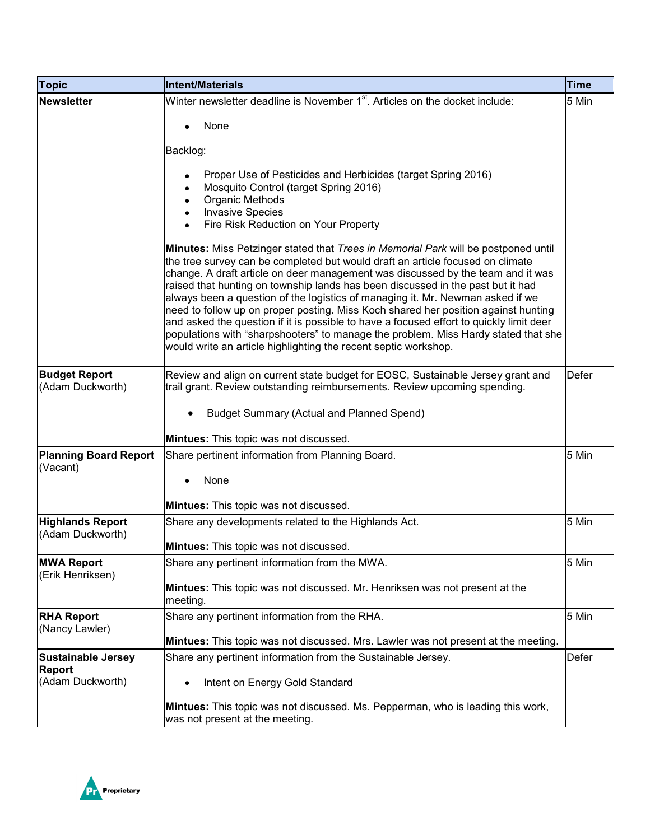| <b>Topic</b>                          | <b>Intent/Materials</b>                                                                                                                                                                                                                                                                                                                                                                                                                                                                                                                                                                                                                                                                                                                                                | <b>Time</b>  |
|---------------------------------------|------------------------------------------------------------------------------------------------------------------------------------------------------------------------------------------------------------------------------------------------------------------------------------------------------------------------------------------------------------------------------------------------------------------------------------------------------------------------------------------------------------------------------------------------------------------------------------------------------------------------------------------------------------------------------------------------------------------------------------------------------------------------|--------------|
| <b>Newsletter</b>                     | Winter newsletter deadline is November 1 <sup>st</sup> . Articles on the docket include:                                                                                                                                                                                                                                                                                                                                                                                                                                                                                                                                                                                                                                                                               | 5 Min        |
|                                       | None                                                                                                                                                                                                                                                                                                                                                                                                                                                                                                                                                                                                                                                                                                                                                                   |              |
|                                       |                                                                                                                                                                                                                                                                                                                                                                                                                                                                                                                                                                                                                                                                                                                                                                        |              |
|                                       | Backlog:                                                                                                                                                                                                                                                                                                                                                                                                                                                                                                                                                                                                                                                                                                                                                               |              |
|                                       | Proper Use of Pesticides and Herbicides (target Spring 2016)<br>Mosquito Control (target Spring 2016)                                                                                                                                                                                                                                                                                                                                                                                                                                                                                                                                                                                                                                                                  |              |
|                                       | <b>Organic Methods</b>                                                                                                                                                                                                                                                                                                                                                                                                                                                                                                                                                                                                                                                                                                                                                 |              |
|                                       | <b>Invasive Species</b><br>Fire Risk Reduction on Your Property                                                                                                                                                                                                                                                                                                                                                                                                                                                                                                                                                                                                                                                                                                        |              |
|                                       |                                                                                                                                                                                                                                                                                                                                                                                                                                                                                                                                                                                                                                                                                                                                                                        |              |
|                                       | Minutes: Miss Petzinger stated that Trees in Memorial Park will be postponed until<br>the tree survey can be completed but would draft an article focused on climate<br>change. A draft article on deer management was discussed by the team and it was<br>raised that hunting on township lands has been discussed in the past but it had<br>always been a question of the logistics of managing it. Mr. Newman asked if we<br>need to follow up on proper posting. Miss Koch shared her position against hunting<br>and asked the question if it is possible to have a focused effort to quickly limit deer<br>populations with "sharpshooters" to manage the problem. Miss Hardy stated that she<br>would write an article highlighting the recent septic workshop. |              |
| <b>Budget Report</b>                  | Review and align on current state budget for EOSC, Sustainable Jersey grant and                                                                                                                                                                                                                                                                                                                                                                                                                                                                                                                                                                                                                                                                                        | <b>Defer</b> |
| (Adam Duckworth)                      | trail grant. Review outstanding reimbursements. Review upcoming spending.                                                                                                                                                                                                                                                                                                                                                                                                                                                                                                                                                                                                                                                                                              |              |
|                                       | <b>Budget Summary (Actual and Planned Spend)</b>                                                                                                                                                                                                                                                                                                                                                                                                                                                                                                                                                                                                                                                                                                                       |              |
|                                       | Mintues: This topic was not discussed.                                                                                                                                                                                                                                                                                                                                                                                                                                                                                                                                                                                                                                                                                                                                 |              |
| <b>Planning Board Report</b>          | Share pertinent information from Planning Board.                                                                                                                                                                                                                                                                                                                                                                                                                                                                                                                                                                                                                                                                                                                       | 5 Min        |
| (Vacant)                              | None                                                                                                                                                                                                                                                                                                                                                                                                                                                                                                                                                                                                                                                                                                                                                                   |              |
|                                       |                                                                                                                                                                                                                                                                                                                                                                                                                                                                                                                                                                                                                                                                                                                                                                        |              |
| <b>Highlands Report</b>               | Mintues: This topic was not discussed.<br>Share any developments related to the Highlands Act.                                                                                                                                                                                                                                                                                                                                                                                                                                                                                                                                                                                                                                                                         | 5 Min        |
| (Adam Duckworth)                      |                                                                                                                                                                                                                                                                                                                                                                                                                                                                                                                                                                                                                                                                                                                                                                        |              |
|                                       | <b>Mintues:</b> This topic was not discussed.                                                                                                                                                                                                                                                                                                                                                                                                                                                                                                                                                                                                                                                                                                                          |              |
| <b>MWA Report</b><br>(Erik Henriksen) | Share any pertinent information from the MWA.                                                                                                                                                                                                                                                                                                                                                                                                                                                                                                                                                                                                                                                                                                                          | 5 Min        |
|                                       | Mintues: This topic was not discussed. Mr. Henriksen was not present at the<br>meeting.                                                                                                                                                                                                                                                                                                                                                                                                                                                                                                                                                                                                                                                                                |              |
| <b>RHA Report</b>                     | Share any pertinent information from the RHA.                                                                                                                                                                                                                                                                                                                                                                                                                                                                                                                                                                                                                                                                                                                          | 5 Min        |
| (Nancy Lawler)                        | Mintues: This topic was not discussed. Mrs. Lawler was not present at the meeting.                                                                                                                                                                                                                                                                                                                                                                                                                                                                                                                                                                                                                                                                                     |              |
| <b>Sustainable Jersey</b>             | Share any pertinent information from the Sustainable Jersey.                                                                                                                                                                                                                                                                                                                                                                                                                                                                                                                                                                                                                                                                                                           | Defer        |
| Report<br>(Adam Duckworth)            | Intent on Energy Gold Standard<br>٠                                                                                                                                                                                                                                                                                                                                                                                                                                                                                                                                                                                                                                                                                                                                    |              |
|                                       |                                                                                                                                                                                                                                                                                                                                                                                                                                                                                                                                                                                                                                                                                                                                                                        |              |
|                                       | Mintues: This topic was not discussed. Ms. Pepperman, who is leading this work,<br>was not present at the meeting.                                                                                                                                                                                                                                                                                                                                                                                                                                                                                                                                                                                                                                                     |              |

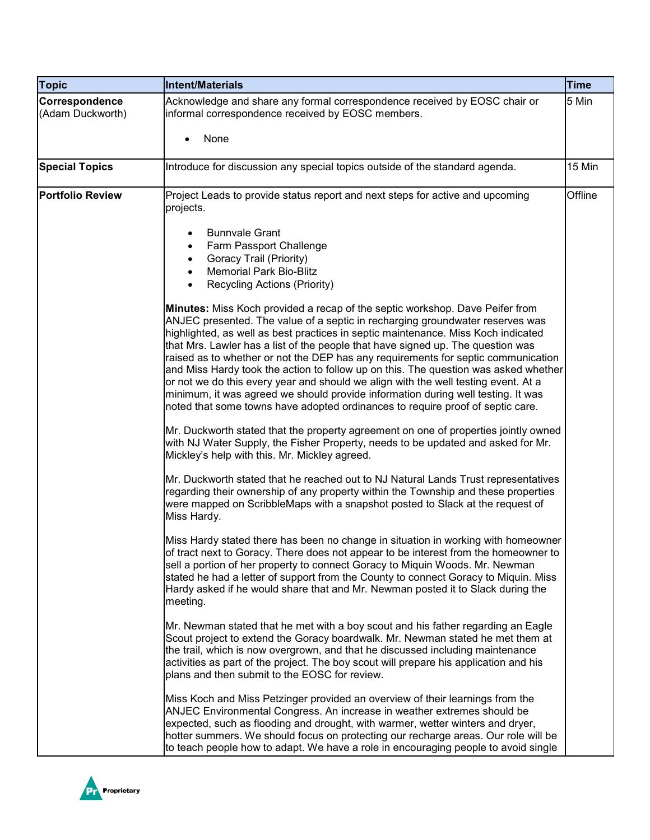| <b>Topic</b>                       | <b>Intent/Materials</b>                                                                                                                                                                                                                                                                                                                                                                                                                                                                                                                                                                                                                                                                                                                                                       | <b>Time</b> |
|------------------------------------|-------------------------------------------------------------------------------------------------------------------------------------------------------------------------------------------------------------------------------------------------------------------------------------------------------------------------------------------------------------------------------------------------------------------------------------------------------------------------------------------------------------------------------------------------------------------------------------------------------------------------------------------------------------------------------------------------------------------------------------------------------------------------------|-------------|
| Correspondence<br>(Adam Duckworth) | Acknowledge and share any formal correspondence received by EOSC chair or<br>informal correspondence received by EOSC members.                                                                                                                                                                                                                                                                                                                                                                                                                                                                                                                                                                                                                                                | 5 Min       |
|                                    | None                                                                                                                                                                                                                                                                                                                                                                                                                                                                                                                                                                                                                                                                                                                                                                          |             |
| <b>Special Topics</b>              | Introduce for discussion any special topics outside of the standard agenda.                                                                                                                                                                                                                                                                                                                                                                                                                                                                                                                                                                                                                                                                                                   | 15 Min      |
| <b>Portfolio Review</b>            | Project Leads to provide status report and next steps for active and upcoming<br>projects.                                                                                                                                                                                                                                                                                                                                                                                                                                                                                                                                                                                                                                                                                    | Offline     |
|                                    | <b>Bunnvale Grant</b><br>Farm Passport Challenge<br>$\bullet$                                                                                                                                                                                                                                                                                                                                                                                                                                                                                                                                                                                                                                                                                                                 |             |
|                                    | Goracy Trail (Priority)                                                                                                                                                                                                                                                                                                                                                                                                                                                                                                                                                                                                                                                                                                                                                       |             |
|                                    | <b>Memorial Park Bio-Blitz</b>                                                                                                                                                                                                                                                                                                                                                                                                                                                                                                                                                                                                                                                                                                                                                |             |
|                                    | Recycling Actions (Priority)                                                                                                                                                                                                                                                                                                                                                                                                                                                                                                                                                                                                                                                                                                                                                  |             |
|                                    | Minutes: Miss Koch provided a recap of the septic workshop. Dave Peifer from<br>ANJEC presented. The value of a septic in recharging groundwater reserves was<br>highlighted, as well as best practices in septic maintenance. Miss Koch indicated<br>that Mrs. Lawler has a list of the people that have signed up. The question was<br>raised as to whether or not the DEP has any requirements for septic communication<br>and Miss Hardy took the action to follow up on this. The question was asked whether<br>or not we do this every year and should we align with the well testing event. At a<br>minimum, it was agreed we should provide information during well testing. It was<br>noted that some towns have adopted ordinances to require proof of septic care. |             |
|                                    | Mr. Duckworth stated that the property agreement on one of properties jointly owned<br>with NJ Water Supply, the Fisher Property, needs to be updated and asked for Mr.<br>Mickley's help with this. Mr. Mickley agreed.                                                                                                                                                                                                                                                                                                                                                                                                                                                                                                                                                      |             |
|                                    | Mr. Duckworth stated that he reached out to NJ Natural Lands Trust representatives<br>regarding their ownership of any property within the Township and these properties<br>were mapped on ScribbleMaps with a snapshot posted to Slack at the request of<br>Miss Hardy.                                                                                                                                                                                                                                                                                                                                                                                                                                                                                                      |             |
|                                    | Miss Hardy stated there has been no change in situation in working with homeowner<br>of tract next to Goracy. There does not appear to be interest from the homeowner to<br>sell a portion of her property to connect Goracy to Miquin Woods. Mr. Newman<br>stated he had a letter of support from the County to connect Goracy to Miquin. Miss<br>Hardy asked if he would share that and Mr. Newman posted it to Slack during the<br>meeting.                                                                                                                                                                                                                                                                                                                                |             |
|                                    | Mr. Newman stated that he met with a boy scout and his father regarding an Eagle<br>Scout project to extend the Goracy boardwalk. Mr. Newman stated he met them at<br>the trail, which is now overgrown, and that he discussed including maintenance<br>activities as part of the project. The boy scout will prepare his application and his<br>plans and then submit to the EOSC for review.                                                                                                                                                                                                                                                                                                                                                                                |             |
|                                    | Miss Koch and Miss Petzinger provided an overview of their learnings from the<br>ANJEC Environmental Congress. An increase in weather extremes should be<br>expected, such as flooding and drought, with warmer, wetter winters and dryer,<br>hotter summers. We should focus on protecting our recharge areas. Our role will be<br>to teach people how to adapt. We have a role in encouraging people to avoid single                                                                                                                                                                                                                                                                                                                                                        |             |